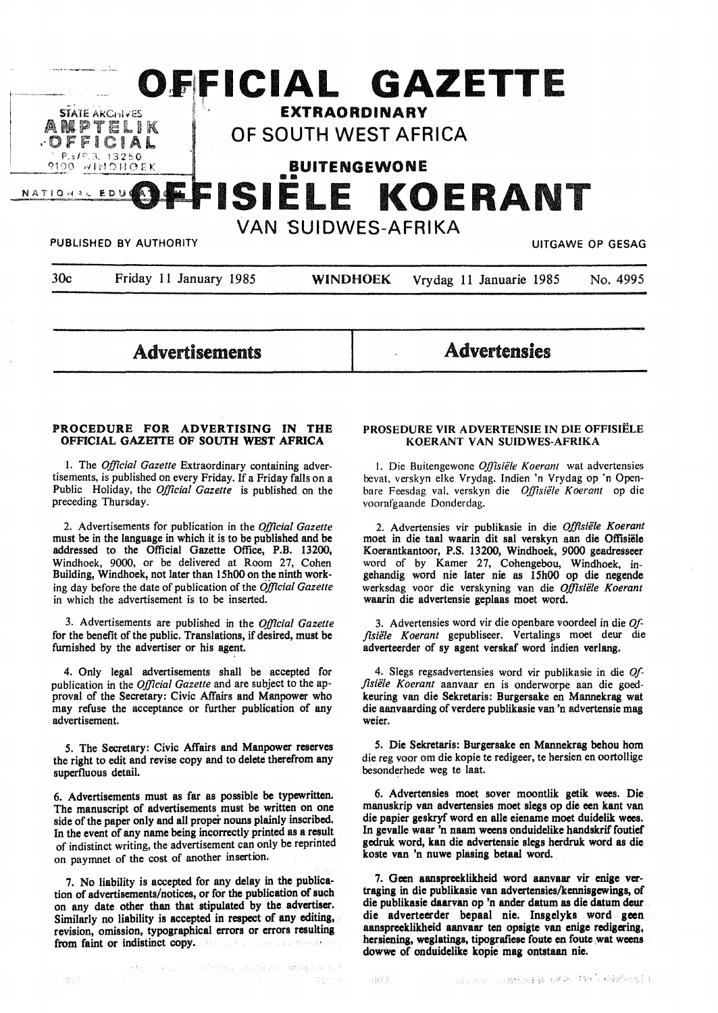

Advertisements

**Advertensies** 

## **PROCEDURE FOR ADVERTISING IN THE OFFICIAL GAZEITE OF SOUTH WEST AFRICA**

I. The *Official Gazette* Extraordinary containing advertisements, is published on every Friday. If a Friday falls on a Public Holiday, the *Official Gazette* is published on the preceding Thursday.

2. Advertisements for publication in the *Official Gazette*  must be in the language in which it is to be published and be addressed to the Official Gazette Office, P.B. 13200, Windhoek, 9000, or be delivered at Room 27, Cohen Building, Windhoek, not later than 15h00 on the ninth working day before the date of publication of the *Official Gazette*  in which the advertisement is to be inserted.

3. Advertisements are published in the *Official Gazette*  for the benefit of the public. Translations, if desired, must be furnished by the advertiser or his agent.

4. Only legal advertisements shall be accepted for publication in the *Official Gazette* and are subject to the approval of the Secretary: Civic Affairs and Manpower who may refuse the acceptance or further publication of any advertisement.

*5.* The Secretary: Civic Affairs and Manpower reserves the right to edit and revise copy and to delete therefrom any superfluous detail.

6. Advertisements must as far as possible be typewritten. The manuscript of advertisements must be written on one side of the paper only and all proper nouns plainly inscribed. In the event of any name being incorrectly printed **as a** result of indistinct writing, the advertisement can only be reprinted on paymnet of the cost of another insertion.

7. No liability is accepted for any delay in the publication of advertisements/notices, or for the publication of such on any date other than that stipulated by the advertiser. Similarly no liability is accepted in respect of any **editing, revision, omission, typographical errors** or **errors resulting from faint or indistinct copy.**  a caracterist.

## **PROSEDURE VIR ADVERTENSIE IN DIE OFFISIELE KOERANT VAN SUIDWES-AFRIKA**

I. Die Buitengewone *Offisiele Koerant* wat advertensies bevat. verskyn elke Vrydag. lndien 'n Vrydag op 'n Openbare Feesdag val, verskyn die *Offisiele Koerant* op die voorafgaande Donderdag.

2. Advertensies vir publikasie in die *Offisiele Koerant*  moet in die taal waarin dit sal verskyn aan die Offisiele Koerantkantoor, P.S. 13200, Windhoek, 9000 geadresseer word of by Kamer 27, Cohengebou, Windhoek, ingehandig word nie later nie as 15h00 op die negende werksdag voor die verskyning van die *Offisiiile Koerant*  waarin die advertensie geplaas moet word.

3. Advertensies word vir die openbare voordeel in die *Offlsiiile Koerant* gepubliseer. Vertalin\_gs moet deur die adverteerder of sy agent verskaf word indien verlang.

4. Slegs regsadvertensies word vir publikasie in die *Offlsiii/e Koerant* aanvaar en is onderworpe aan die goedkeuring van die Sekretaris: Burgersake en Mannekrag wat die aanvaarding of verdere publikasie van 'n advertensie mag weier.

*5.* Die Sekretaris: Burgersake en Mannekrag behou horn die reg voor om die kopie te redigeer, te hersien en oortollige besonderhede weg te laat.

6. Advertensies moet sover moontlik getik wees. Die manuskrip van advertensies moet slegs op die een kant van die papier geskryf word en alle eiename moet duidelik wees. In gevalle waar 'n naam weens onduidelike handskrif foutief gcdruk word, kan die advertensie slegs herdruk word as die koste van 'n nuwe plasing betaal word.

7. Geen aanspreeklikheid word aanvaar vir enige vertraging in die publikasie van advertensies/kennisgewings, of die publikasie daarvan op 'n ander datum as die datum deur die adverteerder bepaal nie. Insgelyks word geen aanspreeklikheid aanvaar ten opsigte van enige rcdigering, hersiening, weglatings, tipografiese foute en foute wat weens dowwe of onduidelike kopie mag ontstaan nie.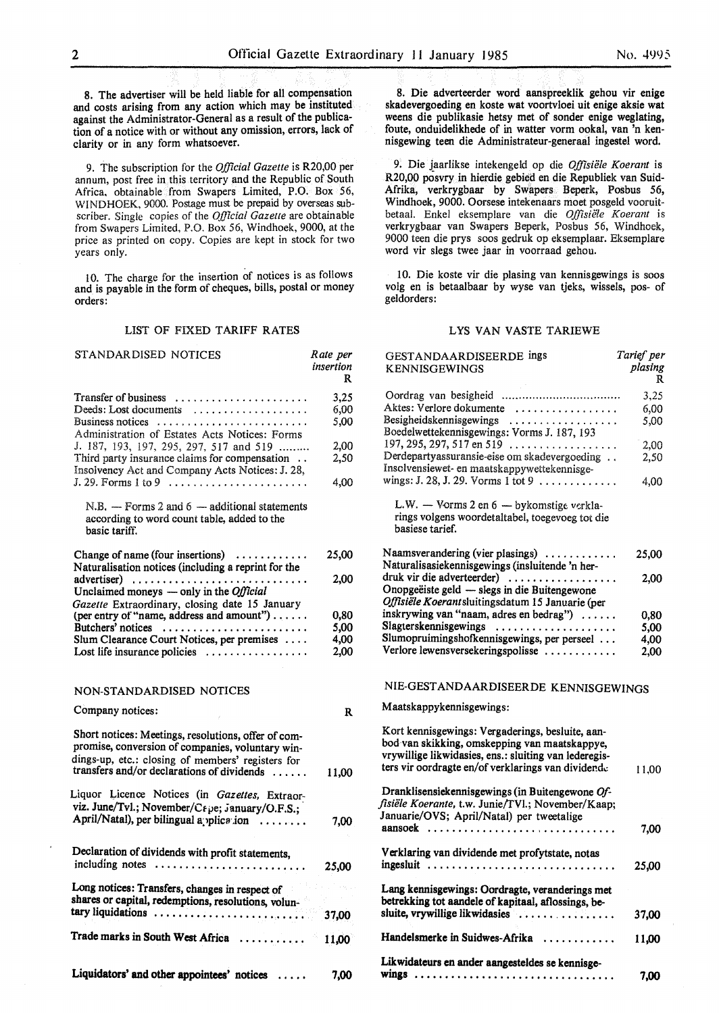8. The advertiser will be held liable for all compensation and costs arising from any action which may be instituted against the Administrator-General as a result of the publication of a notice with or without any omission, errors, lack of clarity or in any form whatsoever.

9. The subscription for the *Official Gazette* is R20,00 per annum, post free in this territory and the Republic of South Africa, obtainable from Swapers Limited, P.O. Box 56, WINDHOEK, 9000. Postage must be prepaid by overseas subscriber. Single copies of the *Official Gazeue* are obtainable from Swapers Limited, P.O. Box 56, Windhoek, 9000, at the price as printed on copy. Copies are kept in stock for two years only.

l 0. The charge for the insertion of notices is as follows and is payable in the form of cheques, bills, postal or money orders:

## LIST OF FIXED TARIFF RATES

| STANDARDISED NOTICES                                                                                                                                                                                       | Rate per<br>insertion<br>R |
|------------------------------------------------------------------------------------------------------------------------------------------------------------------------------------------------------------|----------------------------|
| Transfer of business<br>Deeds: Lost documents<br>Business notices<br>Administration of Estates Acts Notices: Forms                                                                                         | 3,25<br>6,00<br>5,00       |
| J. 187, 193, 197, 295, 297, 517 and 519<br>Third party insurance claims for compensation<br>Insolvency Act and Company Acts Notices: J. 28,                                                                | 2,00<br>2,50               |
| $J. 29.$ Forms 1 to 9 $\ldots \ldots \ldots \ldots \ldots \ldots \ldots$                                                                                                                                   | 4,00                       |
| $N.B.$ - Forms 2 and 6 - additional statements<br>according to word count table, added to the<br>basic tariff.                                                                                             |                            |
| Change of name (four insertions)<br>Naturalisation notices (including a reprint for the                                                                                                                    | 25,00                      |
| $advertiser)$<br>Unclaimed moneys — only in the <i>Official</i><br>Gazette Extraordinary, closing date 15 January                                                                                          | 2.00                       |
| (per entry of "name, address and amount")                                                                                                                                                                  | 0,80                       |
| Butchers' notices                                                                                                                                                                                          | 5,00                       |
| Slum Clearance Court Notices, per premises                                                                                                                                                                 | 4,00                       |
| Lost life insurance policies                                                                                                                                                                               | 2,00                       |
| NON-STANDARDISED NOTICES                                                                                                                                                                                   |                            |
| Company notices:                                                                                                                                                                                           | R                          |
| Short notices: Meetings, resolutions, offer of com-<br>promise, conversion of companies, voluntary win-<br>dings-up, etc.: closing of members' registers for<br>transfers and/or declarations of dividends | 11,00                      |
| Liquor Licence Notices (in Gazettes, Extraor-<br>viz. June/Tvl.; November/Crpe; January/O.F.S.;<br>April/Natal), per bilingual application                                                                 | 7,00                       |
| Declaration of dividends with profit statements,                                                                                                                                                           |                            |
| including notes                                                                                                                                                                                            | 25,00                      |
| Long notices: Transfers, changes in respect of<br>shares or capital, redemptions, resolutions, volun-<br>tary liquidations                                                                                 | 37,00                      |
| Trade marks in South West Africa                                                                                                                                                                           | 11,00                      |
| Liquidators' and other appointees' notices                                                                                                                                                                 | 7.00                       |

9. Die jaarlikse intekengeld op die *Offisiiile Koerant* is R20,00 posvry in hierdie gebied en die Republiek van Suid-Afrika, verkrygbaar by Swapers Beperk, Posbus 56, Windhoek, 9000. Oorsese intekenaars moet posgeld vooruitbetaal. Enkel eksemplare van die Offisiële Koerant is verkrygbaar van Swapers Beperk, Posbus 56, Windhoek, 9000 teen die prys soos gedruk op eksemplaar. Eksemplare word vir slegs twee jaar in voorraad gehou.

I 0. Die koste vir die plasing van kennisgewings is soos volg en is betaalbaar by wyse van tjeks, wissels, pos- of geldorders:

#### LYS VAN VASTE TARIEWE

| GESTANDAARDISEERDE ings<br><b>KENNISGEWINGS</b>                                                                                                                                                                  | Tarief per<br>plasing<br>R |
|------------------------------------------------------------------------------------------------------------------------------------------------------------------------------------------------------------------|----------------------------|
|                                                                                                                                                                                                                  | 3,25                       |
| Aktes: Verlore dokumente                                                                                                                                                                                         | 6,00                       |
| Besigheidskennisgewings<br>Boedelwettekennisgewings: Vorms J. 187, 193                                                                                                                                           | 5,00                       |
| 197, 295, 297, 517 en 519                                                                                                                                                                                        | 2,00                       |
| Derdepartyassuransie-eise om skadevergoeding<br>Insolvensiewet- en maatskappywettekennisge-<br>wings: J. 28, J. 29. Vorms 1 tot 9                                                                                | 2,50<br>4,00               |
| L.W. - Vorms 2 en 6 - bykomstige verkla-<br>rings volgens woordetaltabel, toegevoeg tot die<br>basiese tarief.                                                                                                   |                            |
| Naamsverandering (vier plasings)<br>Naturalisasiekennisgewings (insluitende 'n her-                                                                                                                              | 25,00                      |
| druk vir die adverteerder)<br>Onopgeëiste geld — slegs in die Buitengewone<br>Offisiële Koerantsluitingsdatum 15 Januarie (per                                                                                   | 2,00                       |
| inskrywing van "naam, adres en bedrag")                                                                                                                                                                          | 0,80                       |
| Slagterskennisgewings                                                                                                                                                                                            | 5,00                       |
| Slumopruimingshofkennisgewings, per perseel                                                                                                                                                                      | 4,00                       |
| Verlore lewensversekeringspolisse                                                                                                                                                                                | 2,00                       |
| NIE-GESTANDAARDISEERDE KENNISGEWINGS                                                                                                                                                                             |                            |
| Maatskappykennisgewings:                                                                                                                                                                                         |                            |
| Kort kennisgewings: Vergaderings, besluite, aan-<br>bod van skikking, omskepping van maatskappye,<br>vrywillige likwidasies, ens.: sluiting van lederegis-<br>ters vir oordragte en/of verklarings van dividende | 11,00                      |
| Dranklisensiekennisgewings (in Buitengewone Of-<br>fisiële Koerante, t.w. Junie/TVl.; November/Kaap;<br>Januarie/OVS; April/Natal) per tweetalige                                                                |                            |
|                                                                                                                                                                                                                  | 7,00                       |
| Verklaring van dividende met profytstate, notas<br>ingesluit                                                                                                                                                     | 25,00                      |
| Lang kennisgewings: Oordragte, veranderings met<br>betrekking tot aandele of kapitaal, aflossings, be-<br>sluite, vrywillige likwidasies<br>.                                                                    | 37,00                      |
| Handelsmerke in Suidwes-Afrika                                                                                                                                                                                   | 11,00                      |
| Likwidateurs en ander aangesteldes se kennisge-                                                                                                                                                                  |                            |
|                                                                                                                                                                                                                  | 7.00                       |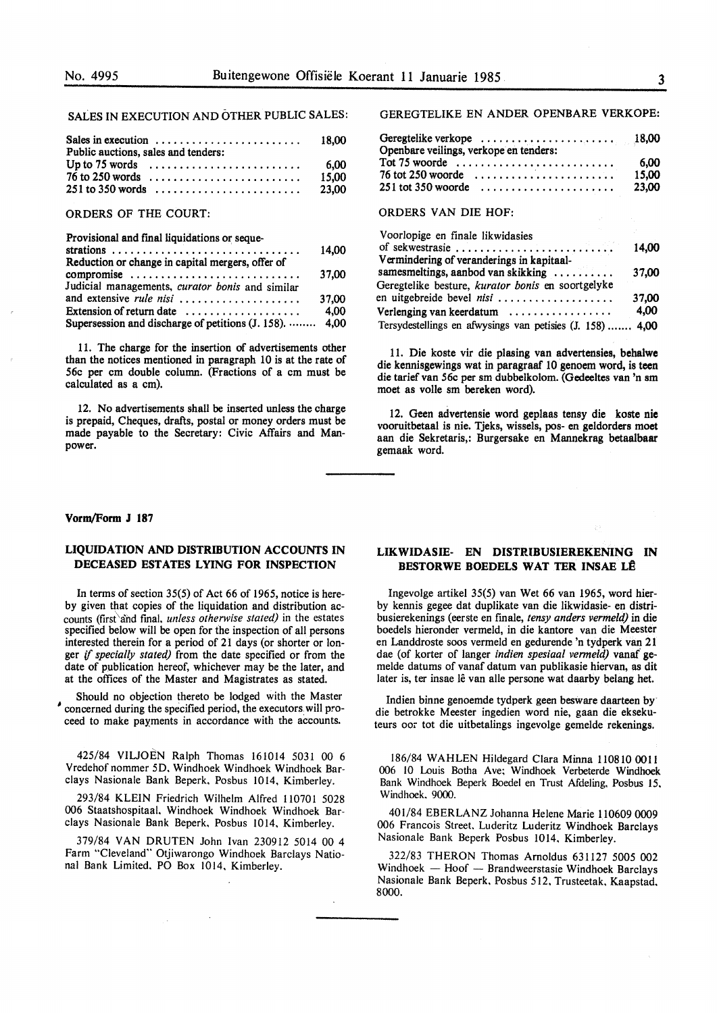## SALES IN EXECUTION AND OTHER PUBLIC SALES:

| Public auctions, sales and tenders: |                                                                               |       |
|-------------------------------------|-------------------------------------------------------------------------------|-------|
|                                     | Up to 75 words $\ldots \ldots \ldots \ldots \ldots \ldots \ldots \ldots$ 6,00 |       |
|                                     | $76$ to 250 words $\ldots \ldots \ldots \ldots \ldots \ldots \ldots$          | 15.00 |
|                                     |                                                                               |       |
|                                     |                                                                               |       |

### ORDERS OF THE COURT:

Provisional and final liquidations or seque-

|                                                         | 14,00 |
|---------------------------------------------------------|-------|
| Reduction or change in capital mergers, offer of        |       |
| compromise                                              | 37.00 |
| Judicial managements, curator bonis and similar         |       |
| and extensive rule nisi                                 | 37.00 |
| Extension of return date                                | 4.00  |
| Supersession and discharge of petitions (J. 158).  4,00 |       |

11. The charge for the insertion of advertisements other than the notices mentioned in paragraph 10 is at the rate of 56c per cm double column. (Fractions of a cm must be calculated as a cm).

12. No advertisements shall be inserted unless the charge is prepaid, Cheques, drafts, postal or money orders must be made payable to the Secretary: Civic Affairs and Manpower.

### **Vorm/Form J 187**

## **LIQUIDATION AND DISTRIBUTION ACCOUNTS IN DECEASED ESTATES LYING FOR INSPECTION**

In terms of section 35(5) of Act 66 of 1965, notice is hereby given that copies of the liquidation and distribution accounts (first'and final, *unless otherwise stated)* in the estates specified below will be open for the inspection of all persons interested therein for a period of 21 days (or shorter or longer if *specially stated)* from the date specified or from the date of publication hereof, whichever may be the later, and at the offices of the Master and Magistrates as stated.

Should no objection thereto be lodged with the Master ' concerned during the specified period, the executors will proceed to make payments in accordance with the accounts.

425/84 VILJOEN Ralph Thomas 161014 5031 00 6 Vredehof nommer 5D. Windhoek Windhoek Windhoek Barclays Nasionale Bank Beperk, Posbus 1014, Kimberley.

293/84 **KLEIN** Friedrich Wilhelm Alfred l 10701 5028 006 Staatshospitaal. Windhoek Windhoek Windhoek Barclays Nasionale Bank Beperk, Posbus 1014, Kimberley.

379/84 VAN DRUTEN John Ivan 230912 5014 00 4 Farm "Cleveland" Otjiwarongo Windhoek Barclays National Bank Limited. PO Box 1014, Kimberley.

GEREGTELIKE EN ANDER OPENBARE VERKOPE:

| Openbare veilings, verkope en tenders:                                       |       |
|------------------------------------------------------------------------------|-------|
| Tot 75 woorde $\ldots \ldots \ldots \ldots \ldots \ldots \ldots \ldots$ 6.00 |       |
| $76$ tot 250 woorde $\ldots \ldots \ldots \ldots \ldots \ldots$              | 15.00 |
|                                                                              |       |

### ORDERS VAN DIE HOF:

| Voorlopige en finale likwidasies                          |       |
|-----------------------------------------------------------|-------|
| of sekwestrasie                                           | 14,00 |
| Vermindering of veranderings in kapitaal-                 |       |
| samesmeltings, aanbod van skikking                        | 37.00 |
| Geregtelike besture, kurator bonis en soortgelyke         |       |
| en uitgebreide bevel nisi                                 | 37.00 |
| Verlenging van keerdatum                                  | 4,00  |
| Tersydestellings en afwysings van petisies (J. 158)  4,00 |       |

11. Die koste vir die plasing van advertensies, **behalwe**  die kennisgewings wat in paragraaf 10 genoem word, is teen die tarief van *56c* per sm dubbelkolom. (Gedeeltes van 'n sm moet as voile sm bereken word).

12. Geen advertensie word geplaas tensy die koste nie vooruitbetaal is nie. Tjeks, wissels, pos- en geldorders moet aan die Sekretaris,: Burgersake en Mannekrag betaalbaar gemaak word.

## **LIKWIDASIE- EN DISTRIBUSIEREKENING IN BESTORWE BOEDELS WAT TER INSAE LÊ**

Ingevolge artikel 35(5) van Wet 66 van 1965, word hierby kennis gegee dat duplikate van die likwidasie- en distribusierekenings (eerste en finale, *tensy anders vermeld)* in die boedels hieronder vermeld, in die kantore van die Meester en Landdroste soos vermeld en gedurende 'n tydperk van 21 dae (of korter of !anger *indien spesiaal venneld)* vanaf' gemelde datums of vanaf datum van publikasie hiervan, as dit later is, ter insae lê van alle persone wat daarby belang het.

Indien binne genoemde tydperk geen besware daarteen by die betrokke Meester ingedien word nie, gaan die eksekuteurs oor tot die uitbetalings ingevolge gemelde rekenings.

186/84 WAHLEN Hildegard Clara Minna 110810 0011 006 IO Louis Botha Ave; Windhoek Verbeterde Windhoek Bank Windhoek Beperk Boedel en Trust Afdeling, Posbus 15. Windhoek. 9000.

401/84 EBERLANZ Johanna Helene Marie 110609 0009 006 Francois Street. Luderitz Luderitz Windhoek Barclays Nasionale Bank Beperk Posbus 1014, Kimberley.

322/83 THERON Thomas Arnoldus 631127 5005 002  $Windowe$   $-Hoof$   $-Ho$   $S$  and weerstasie Windhoek Barclays Nasionale Bank Beperk. Posbus 512, Trusteetak, Kaapstad. 8000.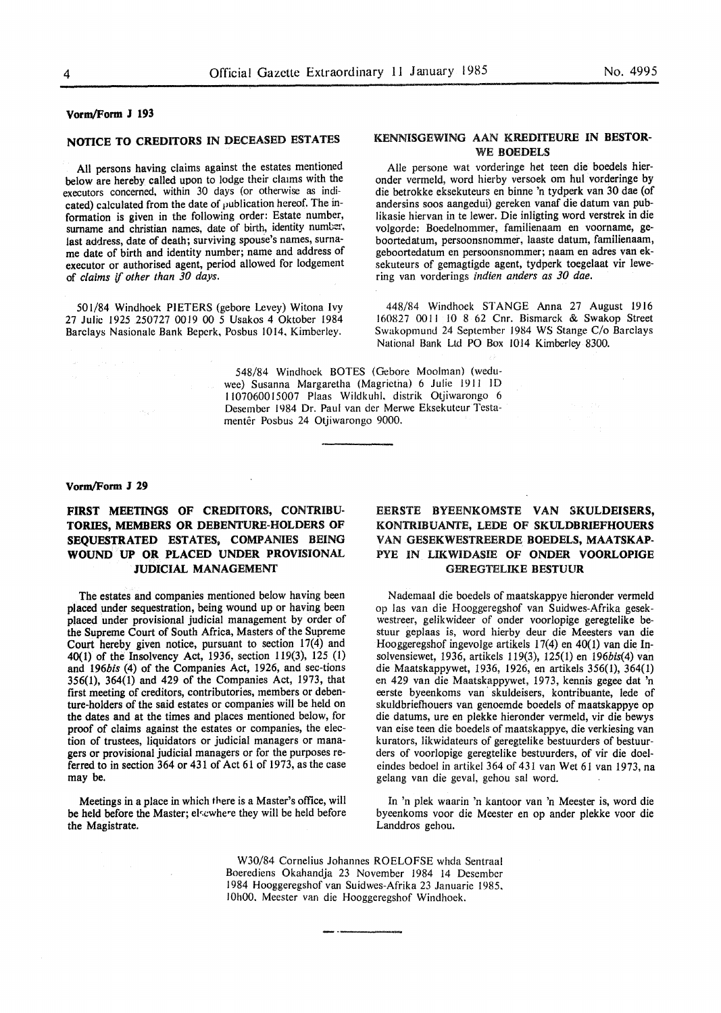#### **Vorm/Form J 193**

## **NOTICE TO CREDITORS** IN DECEASED ESTATES

All persons having claims against the estates mentioned below are hereby called upon to lodge their claims with the executors concerned, within 30 days (or otherwise as indicated) calculated from the date of publication hereof. The information is given in the following order: Estate number, surname and christian names, date of birth, identity number, last address, date of death; surviving spouse's names, surname date of birth and identity number; name and address of executor or authorised agent, period allowed for lodgement of *claims* if *other than 30 days.* 

501/84 Windhoek PIETERS (gebore Levey) Witona Ivy 27 Julie l 925 250727 0019 00 *5* Usakos 4 Oktober 1984 Barclays Nasionale Bank Bepcrk, Posbus 1014, Kimberley.

### KENNISGEWING AAN KREDITEURE **IN BESTOR-**WE **BOEDELS**

Aile persone wat vorderinge het teen die boedels hieronder vermeld, word hierby versoek om hul vorderinge by die betrokke eksekuteurs en binne 'n tydperk van 30 dae (of andersins soos aangedui) gereken vanaf die datum van publikasie hiervan in te lewer. Die inligting word verstrek in die volgorde: Boedelnommer, familienaam en voorname, geboortedatum, persoonsnommer, laaste datum, familienaam, geboortedatum en persoonsnommer; naam en adres van eksekuteurs of gemagtigde agent, tydperk toegelaat vir lewering van vorderings *indien anders as 30 dae.* 

448/84 Windhoek STANGE Anna 27 August 1916 160827 0011 JO 8 62 Cnr. Bismarck & Swakop Street Swakopmund 24 September 1984 WS Stange C/o Barclays National Bank Ltd PO Box l014 Kimberley 8300.

548/84 Windhoek BOTES (Gebore Moolman) (weduwee) Susanna Margaretha (Magrietna) 6 Julie 1911 ID 1107060015007 Plaas Wildkuhl, distrik Otjiwarongo 6 Desember 1984 Dr. Paul van der Merwe Eksekuteur Testamentêr Posbus 24 Otjiwarongo 9000.

#### **Vorm/Form J** *29*

## **FIRST MEETINGS OF CREDITORS, CONTRIBU-TORIES, MEMBERS OR DEBENTURE-HOLDERS OF SEQUESTRATED ESTATES, COMPANIES BEING WOUND UP OR PLACED UNDER PROVISIONAL JUDICIAL MANAGEMENT**

The estates and companies mentioned below having been placed under sequestration, being wound up or having been placed under provisional judicial management by order of the Supreme Court of South Africa, Masters of the Supreme Court hereby given notice, pursuant to section 17(4) and 40(1) of the Insolvency Act, 1936, section 119(3), 125 (1) and 196bis (4) of the Companies Act, 1926, and sec-tions 356(1), 364(1) and 429 of the Companies Act, 1973, that first meeting of creditors, contributories, members or debenture-holders of the said estates or companies will be held on the dates and at the times and places mentioned below, for proof of claims against the estates or companies, the election of trustees, liquidators or judicial managers or managers or provisional judicial managers or for the purposes referred to in section 364 or 431 of Act 61 of 1973, as the case may be.

Meetings in a place in which there is a Master's office, will be held before the Master; elsewhere they will be held before the Magistrate.

## EERSTE BYEENKOMSTE **VAN SKULDEISERS,**  KONTRIBUANTE, LEDE OF SKULDBRIEFHOUERS VAN GESEKWESTREERDE **BOEDELS, MAATSKAP-**PYE IN LIKWIDASIE OF **ONDER VOORLOPIGE**  GEREGTELIKE **BESTUUR**

Nademaal die boedels of maatskappye hieronder vermeld op las van die Hooggeregshof van Suidwes-Afrika gesekwestreer, gelikwideer of onder voorlopige geregtelike bestuur geplaas is, word hierby deur die Meesters van die Hooggeregshof ingevolge artikels 17(4) en 40(1) van die Insolvensiewet, 1936, artikels 119(3), 125(1) en 196bis(4) van die Maatskappywet, 1936, 1926, en artikels 356(1), 364(1) en 429 van die Maatskappywet, 1973, kennis gegee dat 'n eerste byeenkoms van skuldeisers, kontribuante, lede of skuldbriefhouers van genoemde boedels of maatskappye op die datums, ure en plekke hieronder vermeld, vir die bewys van eise teen die boedels of maatskappye, die verkiesing van kurators, likwidateurs of geregtelike bestuurders of bestuurders of voorlopige geregtelike bestuurders, of vir die doeleindes bedoel in artikel 364 of 431 van Wet 61 van 1973, na gelang van die geval, gehou sal word.

In 'n plek waarin 'n kantoor van 'n Meester is, word die byeenkoms voor die Meester en op ander plekke voor die Landdros gebou.

W30/84 Cornelius Johannes ROELOFSE whda Sentraal Boerediens Okahandja 23 November 1984 14 Desember 1984 Hooggeregshof van Suidwes-Afrika 23 Januarie 1985, 10h00, Meester van die Hooggeregshof Windhoek.